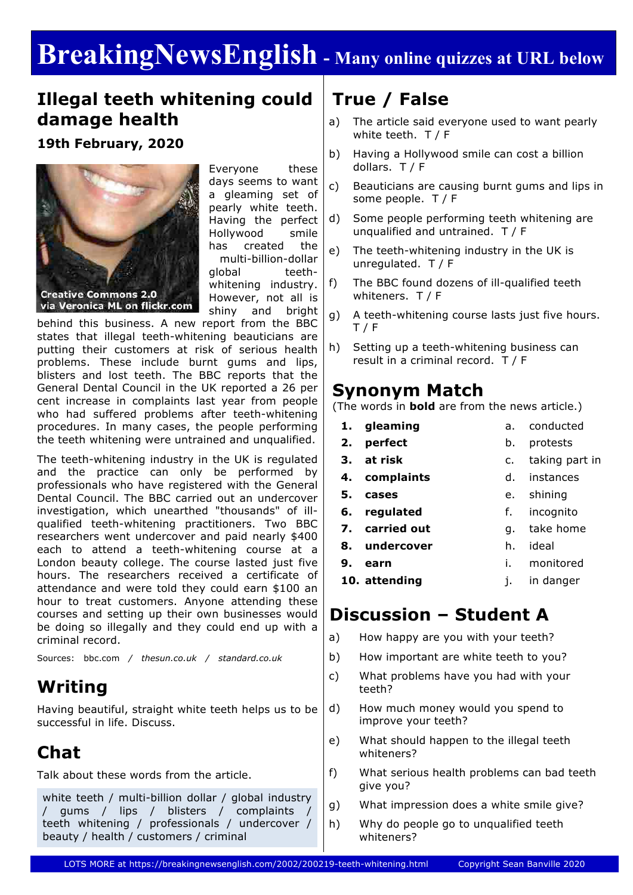# **BreakingNewsEnglish - Many online quizzes at URL below**

### **Illegal teeth whitening could damage health**

**19th February, 2020**



Everyone these days seems to want a gleaming set of pearly white teeth. Having the perfect Hollywood smile has created the multi-billion-dollar global teethwhitening industry. However, not all is shiny and bright

behind this business. A new report from the BBC states that illegal teeth-whitening beauticians are putting their customers at risk of serious health problems. These include burnt gums and lips, blisters and lost teeth. The BBC reports that the General Dental Council in the UK reported a 26 per cent increase in complaints last year from people who had suffered problems after teeth-whitening procedures. In many cases, the people performing the teeth whitening were untrained and unqualified.

The teeth-whitening industry in the UK is regulated and the practice can only be performed by professionals who have registered with the General Dental Council. The BBC carried out an undercover investigation, which unearthed "thousands" of illqualified teeth-whitening practitioners. Two BBC researchers went undercover and paid nearly \$400 each to attend a teeth-whitening course at a London beauty college. The course lasted just five hours. The researchers received a certificate of attendance and were told they could earn \$100 an hour to treat customers. Anyone attending these courses and setting up their own businesses would be doing so illegally and they could end up with a criminal record.

Sources: bbc.com */ thesun.co.uk / standard.co.uk*

### **Writing**

Having beautiful, straight white teeth helps us to be successful in life. Discuss.

# **Chat**

Talk about these words from the article.

```
white teeth / multi-billion dollar / global industry
/ gums / lips / blisters / complaints /
teeth whitening / professionals / undercover /
beauty / health / customers / criminal
```
# **True / False**

- a) The article said everyone used to want pearly white teeth. T / F
- b) Having a Hollywood smile can cost a billion dollars. T / F
- c) Beauticians are causing burnt gums and lips in some people. T / F
- d) Some people performing teeth whitening are unqualified and untrained. T / F
- e) The teeth-whitening industry in the UK is unregulated. T / F
- f) The BBC found dozens of ill-qualified teeth whiteners. T / F
- g) A teeth-whitening course lasts just five hours. T / F
- h) Setting up a teeth-whitening business can result in a criminal record. T / F

### **Synonym Match**

(The words in **bold** are from the news article.)

- **1. gleaming**
- **2. perfect**

**7. carried out**

**9. earn**

- 
- **3. at risk**
- c. taking part in

a. conducted b. protests

- **4. complaints** d. instances
- **5. cases** e. shining
- **6. regulated** f. incognito
	- g. take home
- **8. undercover**
- h. ideal i. monitored
- **10. attending** j. in danger

### **Discussion – Student A**

- a) How happy are you with your teeth?
- b) How important are white teeth to you?
- c) What problems have you had with your teeth?
- d) How much money would you spend to improve your teeth?
- e) What should happen to the illegal teeth whiteners?
- f) What serious health problems can bad teeth give you?
- g) What impression does a white smile give?
- h) Why do people go to unqualified teeth whiteners?